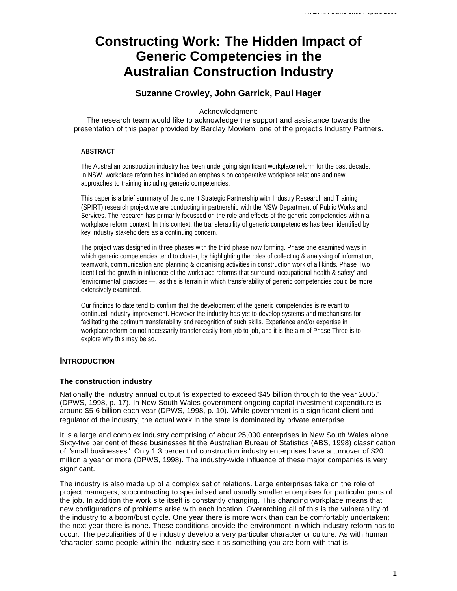# **Constructing Work: The Hidden Impact of Generic Competencies in the Australian Construction Industry**

# **Suzanne Crowley, John Garrick, Paul Hager**

Acknowledgment:

The research team would like to acknowledge the support and assistance towards the presentation of this paper provided by Barclay Mowlem. one of the project's Industry Partners.

### **ABSTRACT**

The Australian construction industry has been undergoing significant workplace reform for the past decade. In NSW, workplace reform has included an emphasis on cooperative workplace relations and new approaches to training including generic competencies.

This paper is a brief summary of the current Strategic Partnership with Industry Research and Training (SPIRT) research project we are conducting in partnership with the NSW Department of Public Works and Services. The research has primarily focussed on the role and effects of the generic competencies within a workplace reform context. In this context, the transferability of generic competencies has been identified by key industry stakeholders as a continuing concern.

The project was designed in three phases with the third phase now forming. Phase one examined ways in which generic competencies tend to cluster, by highlighting the roles of collecting & analysing of information, teamwork, communication and planning & organising activities in construction work of all kinds. Phase Two identified the growth in influence of the workplace reforms that surround 'occupational health & safety' and 'environmental' practices —, as this is terrain in which transferability of generic competencies could be more extensively examined.

Our findings to date tend to confirm that the development of the generic competencies is relevant to continued industry improvement. However the industry has yet to develop systems and mechanisms for facilitating the optimum transferability and recognition of such skills. Experience and/or expertise in workplace reform do not necessarily transfer easily from job to job, and it is the aim of Phase Three is to explore why this may be so.

# **INTRODUCTION**

# **The construction industry**

Nationally the industry annual output 'is expected to exceed \$45 billion through to the year 2005.' (DPWS, 1998, p. 17). In New South Wales government ongoing capital investment expenditure is around \$5-6 billion each year (DPWS, 1998, p. 10). While government is a significant client and regulator of the industry, the actual work in the state is dominated by private enterprise.

It is a large and complex industry comprising of about 25,000 enterprises in New South Wales alone. Sixty-five per cent of these businesses fit the Australian Bureau of Statistics (ABS, 1998) classification of "small businesses". Only 1.3 percent of construction industry enterprises have a turnover of \$20 million a year or more (DPWS, 1998). The industry-wide influence of these major companies is very significant.

The industry is also made up of a complex set of relations. Large enterprises take on the role of project managers, subcontracting to specialised and usually smaller enterprises for particular parts of the job. In addition the work site itself is constantly changing. This changing workplace means that new configurations of problems arise with each location. Overarching all of this is the vulnerability of the industry to a boom/bust cycle. One year there is more work than can be comfortably undertaken; the next year there is none. These conditions provide the environment in which industry reform has to occur. The peculiarities of the industry develop a very particular character or culture. As with human 'character' some people within the industry see it as something you are born with that is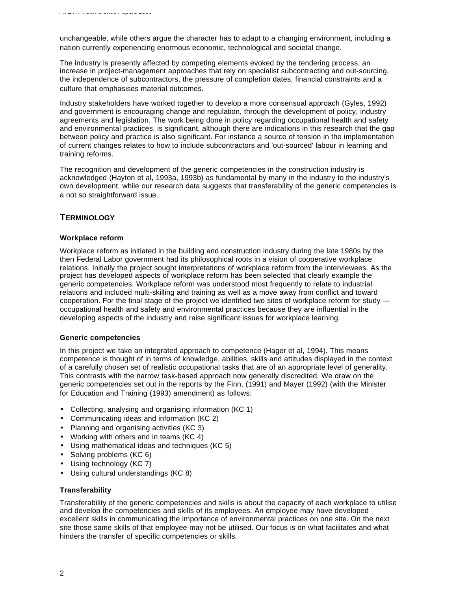unchangeable, while others argue the character has to adapt to a changing environment, including a nation currently experiencing enormous economic, technological and societal change.

The industry is presently affected by competing elements evoked by the tendering process, an increase in project-management approaches that rely on specialist subcontracting and out-sourcing, the independence of subcontractors, the pressure of completion dates, financial constraints and a culture that emphasises material outcomes.

Industry stakeholders have worked together to develop a more consensual approach (Gyles, 1992) and government is encouraging change and regulation, through the development of policy, industry agreements and legislation. The work being done in policy regarding occupational health and safety and environmental practices, is significant, although there are indications in this research that the gap between policy and practice is also significant. For instance a source of tension in the implementation of current changes relates to how to include subcontractors and 'out-sourced' labour in learning and training reforms.

The recognition and development of the generic competencies in the construction industry is acknowledged (Hayton et al, 1993a, 1993b) as fundamental by many in the industry to the industry's own development, while our research data suggests that transferability of the generic competencies is a not so straightforward issue.

# **TERMINOLOGY**

### **Workplace reform**

Workplace reform as initiated in the building and construction industry during the late 1980s by the then Federal Labor government had its philosophical roots in a vision of cooperative workplace relations. Initially the project sought interpretations of workplace reform from the interviewees. As the project has developed aspects of workplace reform has been selected that clearly example the generic competencies. Workplace reform was understood most frequently to relate to industrial relations and included multi-skilling and training as well as a move away from conflict and toward cooperation. For the final stage of the project we identified two sites of workplace reform for study occupational health and safety and environmental practices because they are influential in the developing aspects of the industry and raise significant issues for workplace learning.

#### **Generic competencies**

In this project we take an integrated approach to competence (Hager et al, 1994). This means competence is thought of in terms of knowledge, abilities, skills and attitudes displayed in the context of a carefully chosen set of realistic occupational tasks that are of an appropriate level of generality. This contrasts with the narrow task-based approach now generally discredited. We draw on the generic competencies set out in the reports by the Finn, (1991) and Mayer (1992) (with the Minister for Education and Training (1993) amendment) as follows:

- Collecting, analysing and organising information (KC 1)
- Communicating ideas and information (KC 2)
- Planning and organising activities (KC 3)
- Working with others and in teams (KC 4)
- Using mathematical ideas and techniques (KC 5)
- Solving problems (KC 6)
- Using technology (KC 7)
- Using cultural understandings (KC 8)

# **Transferability**

Transferability of the generic competencies and skills is about the capacity of each workplace to utilise and develop the competencies and skills of its employees. An employee may have developed excellent skills in communicating the importance of environmental practices on one site. On the next site those same skills of that employee may not be utilised. Our focus is on what facilitates and what hinders the transfer of specific competencies or skills.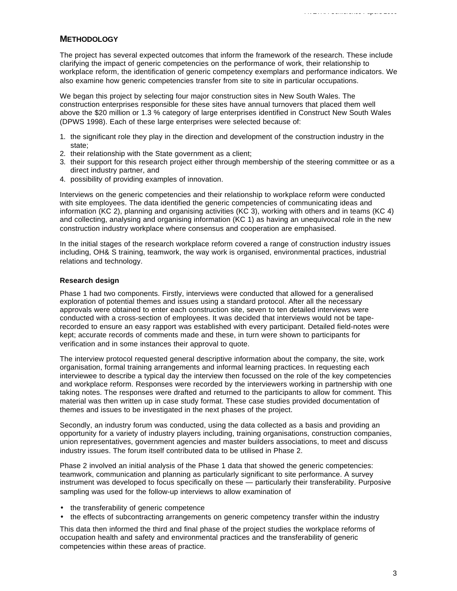# **METHODOLOGY**

The project has several expected outcomes that inform the framework of the research. These include clarifying the impact of generic competencies on the performance of work, their relationship to workplace reform, the identification of generic competency exemplars and performance indicators. We also examine how generic competencies transfer from site to site in particular occupations.

We began this project by selecting four major construction sites in New South Wales. The construction enterprises responsible for these sites have annual turnovers that placed them well above the \$20 million or 1.3 % category of large enterprises identified in Construct New South Wales (DPWS 1998). Each of these large enterprises were selected because of:

- 1. the significant role they play in the direction and development of the construction industry in the state;
- 2. their relationship with the State government as a client;
- 3. their support for this research project either through membership of the steering committee or as a direct industry partner, and
- 4. possibility of providing examples of innovation.

Interviews on the generic competencies and their relationship to workplace reform were conducted with site employees. The data identified the generic competencies of communicating ideas and information (KC 2), planning and organising activities (KC 3), working with others and in teams (KC 4) and collecting, analysing and organising information (KC 1) as having an unequivocal role in the new construction industry workplace where consensus and cooperation are emphasised.

In the initial stages of the research workplace reform covered a range of construction industry issues including, OH& S training, teamwork, the way work is organised, environmental practices, industrial relations and technology.

#### **Research design**

Phase 1 had two components. Firstly, interviews were conducted that allowed for a generalised exploration of potential themes and issues using a standard protocol. After all the necessary approvals were obtained to enter each construction site, seven to ten detailed interviews were conducted with a cross-section of employees. It was decided that interviews would not be taperecorded to ensure an easy rapport was established with every participant. Detailed field-notes were kept; accurate records of comments made and these, in turn were shown to participants for verification and in some instances their approval to quote.

The interview protocol requested general descriptive information about the company, the site, work organisation, formal training arrangements and informal learning practices. In requesting each interviewee to describe a typical day the interview then focussed on the role of the key competencies and workplace reform. Responses were recorded by the interviewers working in partnership with one taking notes. The responses were drafted and returned to the participants to allow for comment. This material was then written up in case study format. These case studies provided documentation of themes and issues to be investigated in the next phases of the project.

Secondly, an industry forum was conducted, using the data collected as a basis and providing an opportunity for a variety of industry players including, training organisations, construction companies, union representatives, government agencies and master builders associations, to meet and discuss industry issues. The forum itself contributed data to be utilised in Phase 2.

Phase 2 involved an initial analysis of the Phase 1 data that showed the generic competencies: teamwork, communication and planning as particularly significant to site performance. A survey instrument was developed to focus specifically on these — particularly their transferability. Purposive sampling was used for the follow-up interviews to allow examination of

- the transferability of generic competence
- the effects of subcontracting arrangements on generic competency transfer within the industry

This data then informed the third and final phase of the project studies the workplace reforms of occupation health and safety and environmental practices and the transferability of generic competencies within these areas of practice.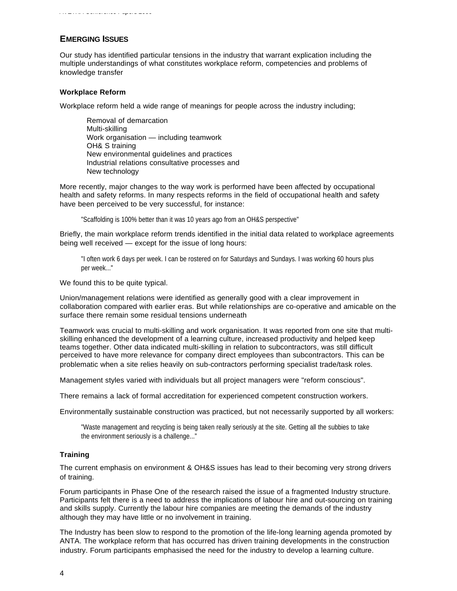# **EMERGING ISSUES**

*AVETRA Conference Papers 2000*

Our study has identified particular tensions in the industry that warrant explication including the multiple understandings of what constitutes workplace reform, competencies and problems of knowledge transfer

# **Workplace Reform**

Workplace reform held a wide range of meanings for people across the industry including;

Removal of demarcation Multi-skilling Work organisation — including teamwork OH& S training New environmental guidelines and practices Industrial relations consultative processes and New technology

More recently, major changes to the way work is performed have been affected by occupational health and safety reforms. In many respects reforms in the field of occupational health and safety have been perceived to be very successful, for instance:

"Scaffolding is 100% better than it was 10 years ago from an OH&S perspective"

Briefly, the main workplace reform trends identified in the initial data related to workplace agreements being well received — except for the issue of long hours:

"I often work 6 days per week. I can be rostered on for Saturdays and Sundays. I was working 60 hours plus per week..."

We found this to be quite typical.

Union/management relations were identified as generally good with a clear improvement in collaboration compared with earlier eras. But while relationships are co-operative and amicable on the surface there remain some residual tensions underneath

Teamwork was crucial to multi-skilling and work organisation. It was reported from one site that multiskilling enhanced the development of a learning culture, increased productivity and helped keep teams together. Other data indicated multi-skilling in relation to subcontractors, was still difficult perceived to have more relevance for company direct employees than subcontractors. This can be problematic when a site relies heavily on sub-contractors performing specialist trade/task roles.

Management styles varied with individuals but all project managers were "reform conscious".

There remains a lack of formal accreditation for experienced competent construction workers.

Environmentally sustainable construction was practiced, but not necessarily supported by all workers:

"Waste management and recycling is being taken really seriously at the site. Getting all the subbies to take the environment seriously is a challenge..."

# **Training**

The current emphasis on environment & OH&S issues has lead to their becoming very strong drivers of training.

Forum participants in Phase One of the research raised the issue of a fragmented Industry structure. Participants felt there is a need to address the implications of labour hire and out-sourcing on training and skills supply. Currently the labour hire companies are meeting the demands of the industry although they may have little or no involvement in training.

The Industry has been slow to respond to the promotion of the life-long learning agenda promoted by ANTA. The workplace reform that has occurred has driven training developments in the construction industry. Forum participants emphasised the need for the industry to develop a learning culture.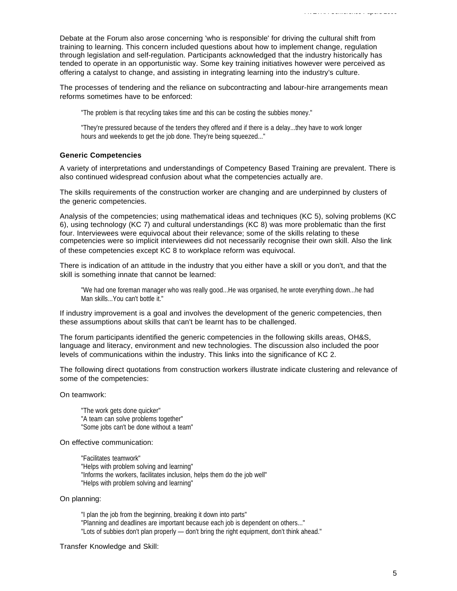Debate at the Forum also arose concerning 'who is responsible' for driving the cultural shift from training to learning. This concern included questions about how to implement change, regulation through legislation and self-regulation. Participants acknowledged that the industry historically has tended to operate in an opportunistic way. Some key training initiatives however were perceived as offering a catalyst to change, and assisting in integrating learning into the industry's culture.

The processes of tendering and the reliance on subcontracting and labour-hire arrangements mean reforms sometimes have to be enforced:

"The problem is that recycling takes time and this can be costing the subbies money."

"They're pressured because of the tenders they offered and if there is a delay...they have to work longer hours and weekends to get the job done. They're being squeezed..."

## **Generic Competencies**

A variety of interpretations and understandings of Competency Based Training are prevalent. There is also continued widespread confusion about what the competencies actually are.

The skills requirements of the construction worker are changing and are underpinned by clusters of the generic competencies.

Analysis of the competencies; using mathematical ideas and techniques (KC 5), solving problems (KC 6), using technology (KC 7) and cultural understandings (KC 8) was more problematic than the first four. Interviewees were equivocal about their relevance; some of the skills relating to these competencies were so implicit interviewees did not necessarily recognise their own skill. Also the link of these competencies except KC 8 to workplace reform was equivocal.

There is indication of an attitude in the industry that you either have a skill or you don't, and that the skill is something innate that cannot be learned:

"We had one foreman manager who was really good...He was organised, he wrote everything down...he had Man skills...You can't bottle it."

If industry improvement is a goal and involves the development of the generic competencies, then these assumptions about skills that can't be learnt has to be challenged.

The forum participants identified the generic competencies in the following skills areas, OH&S, language and literacy, environment and new technologies. The discussion also included the poor levels of communications within the industry. This links into the significance of KC 2.

The following direct quotations from construction workers illustrate indicate clustering and relevance of some of the competencies:

#### On teamwork:

"The work gets done quicker" "A team can solve problems together" "Some jobs can't be done without a team"

#### On effective communication:

"Facilitates teamwork" "Helps with problem solving and learning" "Informs the workers, facilitates inclusion, helps them do the job well" "Helps with problem solving and learning"

#### On planning:

"I plan the job from the beginning, breaking it down into parts" "Planning and deadlines are important because each job is dependent on others..." "Lots of subbies don't plan properly — don't bring the right equipment, don't think ahead."

#### Transfer Knowledge and Skill: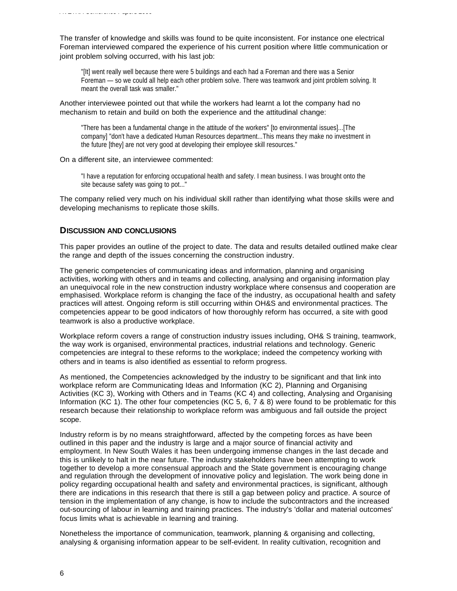The transfer of knowledge and skills was found to be quite inconsistent. For instance one electrical Foreman interviewed compared the experience of his current position where little communication or joint problem solving occurred, with his last job:

"[It] went really well because there were 5 buildings and each had a Foreman and there was a Senior Foreman — so we could all help each other problem solve. There was teamwork and joint problem solving. It meant the overall task was smaller."

## Another interviewee pointed out that while the workers had learnt a lot the company had no mechanism to retain and build on both the experience and the attitudinal change:

"There has been a fundamental change in the attitude of the workers" [to environmental issues]...[The company] "don't have a dedicated Human Resources department...This means they make no investment in the future [they] are not very good at developing their employee skill resources."

#### On a different site, an interviewee commented:

"I have a reputation for enforcing occupational health and safety. I mean business. I was brought onto the site because safety was going to pot..."

The company relied very much on his individual skill rather than identifying what those skills were and developing mechanisms to replicate those skills.

# **DISCUSSION AND CONCLUSIONS**

This paper provides an outline of the project to date. The data and results detailed outlined make clear the range and depth of the issues concerning the construction industry.

The generic competencies of communicating ideas and information, planning and organising activities, working with others and in teams and collecting, analysing and organising information play an unequivocal role in the new construction industry workplace where consensus and cooperation are emphasised. Workplace reform is changing the face of the industry, as occupational health and safety practices will attest. Ongoing reform is still occurring within OH&S and environmental practices. The competencies appear to be good indicators of how thoroughly reform has occurred, a site with good teamwork is also a productive workplace.

Workplace reform covers a range of construction industry issues including, OH& S training, teamwork, the way work is organised, environmental practices, industrial relations and technology. Generic competencies are integral to these reforms to the workplace; indeed the competency working with others and in teams is also identified as essential to reform progress.

As mentioned, the Competencies acknowledged by the industry to be significant and that link into workplace reform are Communicating Ideas and Information (KC 2), Planning and Organising Activities (KC 3), Working with Others and in Teams (KC 4) and collecting, Analysing and Organising Information (KC 1). The other four competencies (KC 5, 6, 7 & 8) were found to be problematic for this research because their relationship to workplace reform was ambiguous and fall outside the project scope.

Industry reform is by no means straightforward, affected by the competing forces as have been outlined in this paper and the industry is large and a major source of financial activity and employment. In New South Wales it has been undergoing immense changes in the last decade and this is unlikely to halt in the near future. The industry stakeholders have been attempting to work together to develop a more consensual approach and the State government is encouraging change and regulation through the development of innovative policy and legislation. The work being done in policy regarding occupational health and safety and environmental practices, is significant, although there are indications in this research that there is still a gap between policy and practice. A source of tension in the implementation of any change, is how to include the subcontractors and the increased out-sourcing of labour in learning and training practices. The industry's 'dollar and material outcomes' focus limits what is achievable in learning and training.

Nonetheless the importance of communication, teamwork, planning & organising and collecting, analysing & organising information appear to be self-evident. In reality cultivation, recognition and